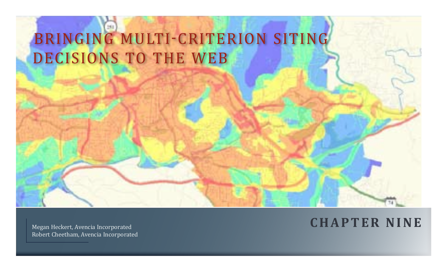# BRINGING MULTI-CRITERION SITING DECISIONS TO THE WEB

Robert Cheetham, Avencia Incorporated

## Megan Heckert, Avencia Incorporated **C HAPTER NINE**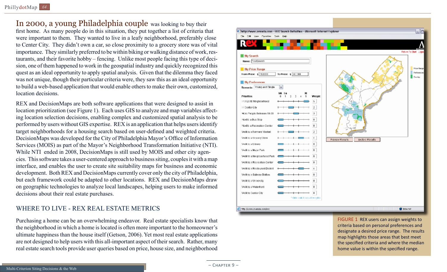In 2000, a young Philadelphia couple was looking to buy their first home. As many people do in this situation, they put together a list of criteria that were important to them. They wanted to live in a leafy neighborhood, preferably close to Center City. They didn't own a car, so close proximity to a grocery store was of vital importance. They similarly preferred to be within biking or walking distance of work, restaurants, and their favorite hobby – fencing. Unlike most people facing this type of decision, one of them happened to work in the geospatial industry and quickly recognized this quest as an ideal opportunity to apply spatial analysis. Given that the dilemma they faced was not unique, though their particular criteria were, they saw this as an ideal opportunity to build a web-based application that would enable others to make their own, customized, location decisions.

REX and DecisionMaps are both software applications that were designed to assist in location prioritization (see Figure 1). Each uses GIS to analyze and map variables affecting location selection decisions, enabling complex and customized spatial analysis to be performed by users without GIS expertise. REX is an application that helps users identify target neighborhoods for a housing search based on user-defined and weighted criteria. DecisionMaps was developed for the City of Philadelphia Mayor's Office of Information Services (MOIS) as part of the Mayor's Neighborhood Transformation Initiative (NTI). While NTI ended in 2008, DecisionMaps is still used by MOIS and other city agencies. This software takes a user-centered approach to business siting, couples it with a map interface, and enables the user to create site suitability maps for business and economic development. Both REX and DecisionMaps currently cover only the city of Philadelphia, but each framework could be adapted to other locations. REX and DecisionMaps draw on geographic technologies to analyze local landscapes, helping users to make informed decisions about their real estate purchases.

#### Where to Live - Rex Real estate Metrics

Purchasing a home can be an overwhelming endeavor. Real estate specialists know that the neighborhood in which a home is located is often more important to the homeowner's ultimate happiness than the house itself (Getson, 2006). Yet most real estate applications are not designed to help users with this all-important aspect of their search. Rather, many real estate search tools provide user queries based on price, house size, and neighborhood



FIGURE 1 REX users can assign weights to criteria based on personal preferences and designate a desired price range. The results map highlights those areas that best meet the specified criteria and where the median home value is within the specified range.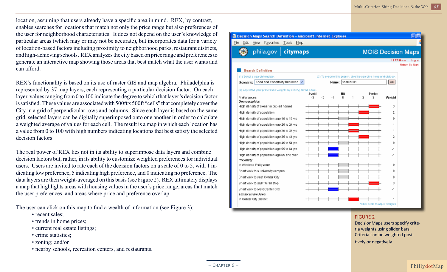location, assuming that users already have a specific area in mind. REX, by contrast, enables searches for locations that match not only the price range but also preferences of the user for neighborhood characteristics. It does not depend on the user's knowledge of particular areas (which may or may not be accurate), but incorporates data for a variety of location-based factors including proximity to neighborhood parks, restaurant districts, and high-achieving schools. REX analyzes the city based on price range and preferences to generate an interactive map showing those areas that best match what the user wants and can afford.

REX's functionality is based on its use of raster GIS and map algebra. Philadelphia is represented by 37 map layers, each representing a particular decision factor. On each layer, values ranging from 0 to 100 indicate the degree to which that layer's decision factor is satisfied. These values are associated with 500ft x 500ft "cells" that completely cover the City in a grid of perpendicular rows and columns. Since each layer is based on the same grid, selected layers can be digitally superimposed onto one another in order to calculate a weighted average of values for each cell. The result is a map in which each location has a value from 0 to 100 with high numbers indicating locations that best satisfy the selected decision factors.

The real power of REX lies not in its ability to superimpose data layers and combine decision factors but, rather, in its ability to customize weighted preferences for individual users. Users are invited to rate each of the decision factors on a scale of 0 to 5, with 1 indicating low preference, 5 indicating high preference, and 0 indicating no preference. The data layers are then weight-averaged on this basis (see Figure 2). REX ultimately displays a map that highlights areas with housing values in the user's price range, areas that match the user preferences, and areas where price and preference overlap.

The user can click on this map to find a wealth of information (see Figure 3):

- recent sales;
- trends in home prices;
- current real estate listings;
- crime statistics;
- zoning; and/or
- nearby schools, recreation centers, and restaurants.



FIGURE 2

DecisionMaps users specify criteria weights using slider bars. Criteria can be weighted positively or negatively.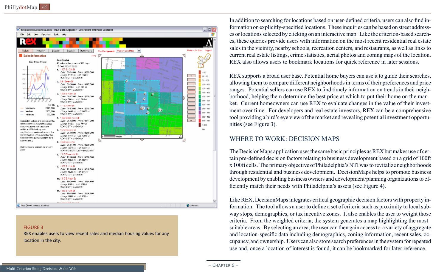

FIGURE 3 REX enables users to view recent sales and median housing values for any location in the city.

In addition to searching for locations based on user-defined criteria, users can also find information on explicitly-specified locations. These inquiries can be based on street addresses or locations selected by clicking on an interactive map. Like the criterion-based searches, these queries provide users with information on the most recent residential real estate sales in the vicinity, nearby schools, recreation centers, and restaurants, as well as links to current real estate listings, crime statistics, aerial photos and zoning maps of the location. REX also allows users to bookmark locations for quick reference in later sessions.

REX supports a broad user base. Potential home buyers can use it to guide their searches, allowing them to compare different neighborhoods in terms of their preferences and price ranges. Potential sellers can use REX to find timely information on trends in their neighborhood, helping them determine the best price at which to put their home on the market. Current homeowners can use REX to evaluate changes in the value of their investment over time. For developers and real estate investors, REX can be a comprehensive tool providing a bird's eye view of the market and revealing potential investment opportunities (see Figure 3).

#### Where to Work: Decision Maps

The DecisionMaps application uses the same basic principles as REX but makes use of certain pre-defined decision factors relating to business development based on a grid of 100ft x 100ft cells. The primary objective of Philadelphia's NTI was to revitalize neighborhoods through residential and business development. DecisionMaps helps to promote business development by enabling business owners and development/planning organizations to efficiently match their needs with Philadelphia's assets (see Figure 4).

Like REX, DecisionMaps integrates critical geographic decision factors with property information. The tool allows a user to define a set of criteria such as proximity to local subway stops, demographics, or tax incentive zones. It also enables the user to weight those criteria. From the weighted criteria, the system generates a map highlighting the most suitable areas. By selecting an area, the user can then gain access to a variety of aggregate and location-specific data including demographics, zoning information, recent sales, occupancy, and ownership. Users can also store search preferences in the system for repeated use and, once a location of interest is found, it can be bookmarked for later reference.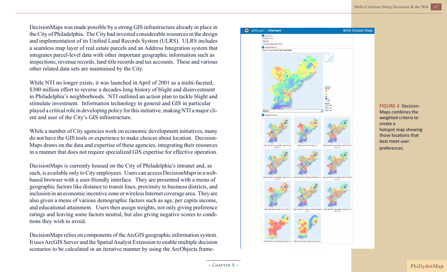DecisionMaps was made possible by a strong GIS infrastructure already in place in the City of Philadelphia. The City had invested considerable resources in the design and implementation of its Unified Land Records System (ULRS). ULRS includes a seamless map layer of real estate parcels and an Address Integration system that integrates parcel-level data with other important geographic information such as inspections, revenue records, land title records and tax accounts. These and various other related data sets are maintained by the City.

While NTI no longer exists, it was launched in April of 2001 as a multi-faceted, \$300 million effort to reverse a decades-long history of blight and disinvestment in Philadelphia's neighborhoods. NTI outlined an action plan to tackle blight and stimulate investment. Information technology in general and GIS in particular played a critical role in developing policy for this initiative, making NTI a major client and user of the City's GIS infrastructure.

While a number of City agencies work on economic development initiatives, many do not have the GIS tools or experience to make choices about location. Decision-Maps draws on the data and expertise of these agencies, integrating their resources in a manner that does not require specialized GIS expertise for effective operation.

DecisionMaps is currently housed on the City of Philadelphia's intranet and, as such, is available only to City employees. Users can access DecisionMaps in a webbased browser with a user-friendly interface. They are presented with a menu of geographic factors like distance to transit lines, proximity to business districts, and inclusion in an economic incentive zone or wireless Internet coverage area. They are also given a menu of various demographic factors such as age, per capita income, and educational attainment. Users then assign weights, not only giving preference ratings and leaving some factors neutral, but also giving negative scores to conditions they wish to avoid.

DecisionMaps relies on components of the ArcGIS geographic information system. It uses ArcGIS Server and the Spatial Analyst Extension to enable multiple decision scenarios to be calculated in an iterative manner by using the ArcObjects frame-



FIGURE 4 Decision-Maps combines the weighted criteria to create a hotspot map showing those locations that best meet user preferences.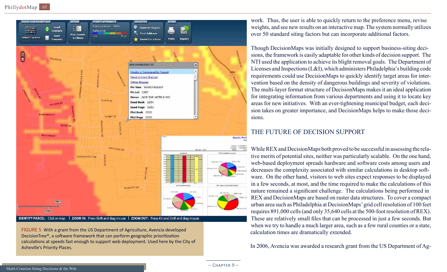

FIGURE 5 With a grant from the US Department of Agriculture, Avencia developed DecisionTree®, a software framework that can perform geographic prioritization calculations at speeds fast enough to support web deployment. Used here by the City of Asheville's Priority Places.

work. Thus, the user is able to quickly return to the preference menu, revise weights, and see new results on an interactive map. The system normally utilizes over 50 standard siting factors but can incorporate additional factors.

Though DecisionMaps was initially designed to support business-siting decisions, the framework is easily adaptable for other kinds of decision support. The NTI used the application to achieve its blight removal goals. The Department of Licenses and Inspections (L&I), which administers Philadelphia's building code requirements could use DecisionMaps to quickly identify target areas for intervention based on the density of dangerous buildings and severity of violations. The multi-layer format structure of DecisionMaps makes it an ideal application for integrating information from various departments and using it to locate key areas for new initiatives. With an ever-tightening municipal budget, each decision takes on greater importance, and DecisionMaps helps to make those decisions.

### THE FUTURE OF DECISION SUPPORT

While REX and DecisionMaps both proved to be successful in assessing the relative merits of potential sites, neither was particularly scalable. On the one hand, web-based deployment spreads hardware and software costs among users and decreases the complexity associated with similar calculations in desktop software. On the other hand, visitors to web sites expect responses to be displayed in a few seconds, at most, and the time required to make the calculations of this nature remained a significant challenge. The calculations being performed in REX and DecisionMaps are based on raster data structures. To cover a compact urban area such as Philadelphia at DecisionMaps' grid cell resolution of 100 feet requires 891,000 cells (and only 35,640 cells at the 500-foot resolution of REX). These are relatively small files that can be processed in just a few seconds. But when we try to handle a much larger area, such as a few rural counties or a state, calculation times are dramatically extended.

In 2006, Avencia was awarded a research grant from the US Department of Ag-